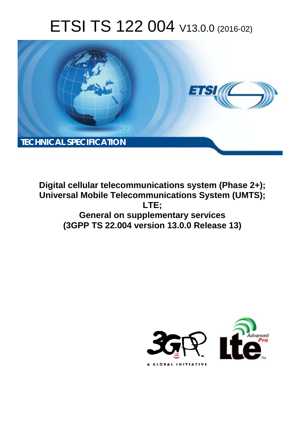# ETSI TS 122 004 V13.0.0 (2016-02)



**Digital cellular telecommunications system (Phase 2+); Universal Mobile Tel elecommunications System ( (UMTS); General on on supplementary services (3GPP TS 22.0 .004 version 13.0.0 Release 13 13) LTE;** 

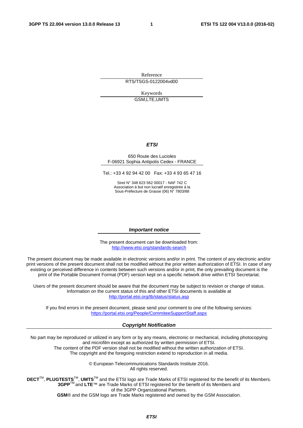Reference RTS/TSGS-0122004vd00

> Keywords GSM,LTE,UMTS

#### *ETSI*

#### 650 Route des Lucioles F-06921 Sophia Antipolis Cedex - FRANCE

Tel.: +33 4 92 94 42 00 Fax: +33 4 93 65 47 16

Siret N° 348 623 562 00017 - NAF 742 C Association à but non lucratif enregistrée à la Sous-Préfecture de Grasse (06) N° 7803/88

#### *Important notice*

The present document can be downloaded from: <http://www.etsi.org/standards-search>

The present document may be made available in electronic versions and/or in print. The content of any electronic and/or print versions of the present document shall not be modified without the prior written authorization of ETSI. In case of any existing or perceived difference in contents between such versions and/or in print, the only prevailing document is the print of the Portable Document Format (PDF) version kept on a specific network drive within ETSI Secretariat.

Users of the present document should be aware that the document may be subject to revision or change of status. Information on the current status of this and other ETSI documents is available at <http://portal.etsi.org/tb/status/status.asp>

If you find errors in the present document, please send your comment to one of the following services: <https://portal.etsi.org/People/CommiteeSupportStaff.aspx>

#### *Copyright Notification*

No part may be reproduced or utilized in any form or by any means, electronic or mechanical, including photocopying and microfilm except as authorized by written permission of ETSI.

The content of the PDF version shall not be modified without the written authorization of ETSI. The copyright and the foregoing restriction extend to reproduction in all media.

> © European Telecommunications Standards Institute 2016. All rights reserved.

**DECT**TM, **PLUGTESTS**TM, **UMTS**TM and the ETSI logo are Trade Marks of ETSI registered for the benefit of its Members. **3GPP**TM and **LTE**™ are Trade Marks of ETSI registered for the benefit of its Members and of the 3GPP Organizational Partners.

**GSM**® and the GSM logo are Trade Marks registered and owned by the GSM Association.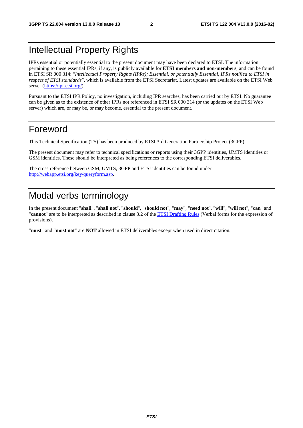# Intellectual Property Rights

IPRs essential or potentially essential to the present document may have been declared to ETSI. The information pertaining to these essential IPRs, if any, is publicly available for **ETSI members and non-members**, and can be found in ETSI SR 000 314: *"Intellectual Property Rights (IPRs); Essential, or potentially Essential, IPRs notified to ETSI in respect of ETSI standards"*, which is available from the ETSI Secretariat. Latest updates are available on the ETSI Web server [\(https://ipr.etsi.org/\)](https://ipr.etsi.org/).

Pursuant to the ETSI IPR Policy, no investigation, including IPR searches, has been carried out by ETSI. No guarantee can be given as to the existence of other IPRs not referenced in ETSI SR 000 314 (or the updates on the ETSI Web server) which are, or may be, or may become, essential to the present document.

# Foreword

This Technical Specification (TS) has been produced by ETSI 3rd Generation Partnership Project (3GPP).

The present document may refer to technical specifications or reports using their 3GPP identities, UMTS identities or GSM identities. These should be interpreted as being references to the corresponding ETSI deliverables.

The cross reference between GSM, UMTS, 3GPP and ETSI identities can be found under [http://webapp.etsi.org/key/queryform.asp.](http://webapp.etsi.org/key/queryform.asp)

# Modal verbs terminology

In the present document "**shall**", "**shall not**", "**should**", "**should not**", "**may**", "**need not**", "**will**", "**will not**", "**can**" and "**cannot**" are to be interpreted as described in clause 3.2 of the [ETSI Drafting Rules](http://portal.etsi.org/Help/editHelp!/Howtostart/ETSIDraftingRules.aspx) (Verbal forms for the expression of provisions).

"**must**" and "**must not**" are **NOT** allowed in ETSI deliverables except when used in direct citation.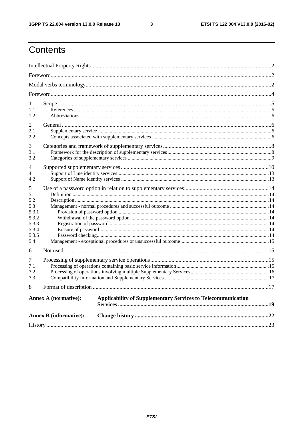$\mathbf{3}$ 

# Contents

| 1<br>1.1<br>1.2                                                            |                               |                                                                     |  |  |  |  |  |
|----------------------------------------------------------------------------|-------------------------------|---------------------------------------------------------------------|--|--|--|--|--|
| 2<br>2.1<br>2.2                                                            |                               |                                                                     |  |  |  |  |  |
| 3<br>3.1<br>3.2                                                            |                               |                                                                     |  |  |  |  |  |
| 4<br>4.1<br>4.2                                                            |                               |                                                                     |  |  |  |  |  |
| 5<br>5.1<br>5.2<br>5.3<br>5.3.1<br>5.3.2<br>5.3.3<br>5.3.4<br>5.3.5<br>5.4 |                               |                                                                     |  |  |  |  |  |
| 6<br>7<br>7.1<br>7.2<br>7.3                                                |                               |                                                                     |  |  |  |  |  |
| 8                                                                          |                               |                                                                     |  |  |  |  |  |
|                                                                            | <b>Annex A (normative):</b>   | <b>Applicability of Supplementary Services to Telecommunication</b> |  |  |  |  |  |
|                                                                            | <b>Annex B</b> (informative): |                                                                     |  |  |  |  |  |
|                                                                            |                               |                                                                     |  |  |  |  |  |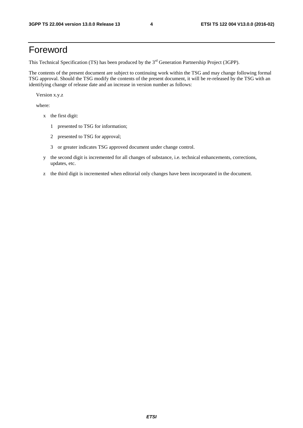# Foreword

This Technical Specification (TS) has been produced by the 3<sup>rd</sup> Generation Partnership Project (3GPP).

The contents of the present document are subject to continuing work within the TSG and may change following formal TSG approval. Should the TSG modify the contents of the present document, it will be re-released by the TSG with an identifying change of release date and an increase in version number as follows:

Version x.y.z

where:

- x the first digit:
	- 1 presented to TSG for information;
	- 2 presented to TSG for approval;
	- 3 or greater indicates TSG approved document under change control.
- y the second digit is incremented for all changes of substance, i.e. technical enhancements, corrections, updates, etc.
- z the third digit is incremented when editorial only changes have been incorporated in the document.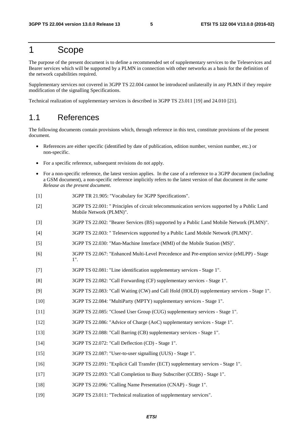# 1 Scope

The purpose of the present document is to define a recommended set of supplementary services to the Teleservices and Bearer services which will be supported by a PLMN in connection with other networks as a basis for the definition of the network capabilities required.

Supplementary services not covered in 3GPP TS 22.004 cannot be introduced unilaterally in any PLMN if they require modification of the signalling Specifications.

Technical realization of supplementary services is described in 3GPP TS 23.011 [19] and 24.010 [21].

### 1.1 References

The following documents contain provisions which, through reference in this text, constitute provisions of the present document.

- References are either specific (identified by date of publication, edition number, version number, etc.) or non-specific.
- For a specific reference, subsequent revisions do not apply.
- For a non-specific reference, the latest version applies. In the case of a reference to a 3GPP document (including a GSM document), a non-specific reference implicitly refers to the latest version of that document *in the same Release as the present document*.
- [1] 3GPP TR 21.905: "Vocabulary for 3GPP Specifications".
- [2] 3GPP TS 22.001: " Principles of circuit telecommunication services supported by a Public Land Mobile Network (PLMN)".
- [3] 3GPP TS 22.002: "Bearer Services (BS) supported by a Public Land Mobile Network (PLMN)".
- [4] 3GPP TS 22.003: " Teleservices supported by a Public Land Mobile Network (PLMN)".
- [5] 3GPP TS 22.030: "Man-Machine Interface (MMI) of the Mobile Station (MS)".
- [6] 3GPP TS 22.067: "Enhanced Multi-Level Precedence and Pre-emption service (eMLPP) Stage 1".
- [7] 3GPP TS 02.081: "Line identification supplementary services Stage 1".
- [8] 3GPP TS 22.082: "Call Forwarding (CF) supplementary services Stage 1".
- [9] 3GPP TS 22.083: "Call Waiting (CW) and Call Hold (HOLD) supplementary services Stage 1".
- [10] 3GPP TS 22.084: "MultiParty (MPTY) supplementary services Stage 1".
- [11] 3GPP TS 22.085: "Closed User Group (CUG) supplementary services Stage 1".
- [12] 3GPP TS 22.086: "Advice of Charge (AoC) supplementary services Stage 1".
- [13] 3GPP TS 22.088: "Call Barring (CB) supplementary services Stage 1".
- [14] 3GPP TS 22.072: "Call Deflection (CD) Stage 1".
- [15] 3GPP TS 22.087: "User-to-user signalling (UUS) Stage 1".
- [16] 3GPP TS 22.091: "Explicit Call Transfer (ECT) supplementary services Stage 1".
- [17] 3GPP TS 22.093: "Call Completion to Busy Subscriber (CCBS) Stage 1".
- [18] 3GPP TS 22.096: "Calling Name Presentation (CNAP) Stage 1".
- [19] 3GPP TS 23.011: "Technical realization of supplementary services".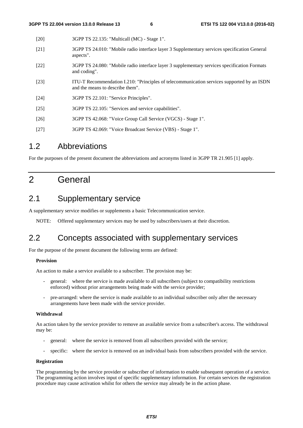| [20]   | 3GPP TS 22.135: "Multicall (MC) - Stage 1".                                                                                    |
|--------|--------------------------------------------------------------------------------------------------------------------------------|
| $[21]$ | 3GPP TS 24.010: "Mobile radio interface layer 3 Supplementary services specification General<br>aspects".                      |
| $[22]$ | 3GPP TS 24.080: "Mobile radio interface layer 3 supplementary services specification Formats<br>and coding".                   |
| [23]   | ITU-T Recommendation I.210: "Principles of telecommunication services supported by an ISDN<br>and the means to describe them". |
| [24]   | 3GPP TS 22.101: "Service Principles".                                                                                          |
| $[25]$ | 3GPP TS 22.105: "Services and service capabilities".                                                                           |
| $[26]$ | 3GPP TS 42.068: "Voice Group Call Service (VGCS) - Stage 1".                                                                   |
| $[27]$ | 3GPP TS 42.069: "Voice Broadcast Service (VBS) - Stage 1".                                                                     |
|        |                                                                                                                                |

### 1.2 Abbreviations

For the purposes of the present document the abbreviations and acronyms listed in 3GPP TR 21.905 [1] apply.

# 2 General

### 2.1 Supplementary service

A supplementary service modifies or supplements a basic Telecommunication service.

NOTE: Offered supplementary services may be used by subscribers/users at their discretion.

### 2.2 Concepts associated with supplementary services

For the purpose of the present document the following terms are defined:

#### **Provision**

An action to make a service available to a subscriber. The provision may be:

- general: where the service is made available to all subscribers (subject to compatibility restrictions enforced) without prior arrangements being made with the service provider;
- pre-arranged: where the service is made available to an individual subscriber only after the necessary arrangements have been made with the service provider.

#### **Withdrawal**

An action taken by the service provider to remove an available service from a subscriber's access. The withdrawal may be:

- general: where the service is removed from all subscribers provided with the service;
- specific: where the service is removed on an individual basis from subscribers provided with the service.

#### **Registration**

The programming by the service provider or subscriber of information to enable subsequent operation of a service. The programming action involves input of specific supplementary information. For certain services the registration procedure may cause activation whilst for others the service may already be in the action phase.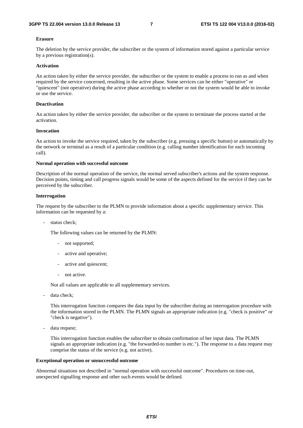#### **Erasure**

The deletion by the service provider, the subscriber or the system of information stored against a particular service by a previous registration(s).

#### **Activation**

An action taken by either the service provider, the subscriber or the system to enable a process to run as and when required by the service concerned, resulting in the active phase. Some services can be either "operative" or "quiescent" (not operative) during the active phase according to whether or not the system would be able to invoke or use the service.

#### **Deactivation**

An action taken by either the service provider, the subscriber or the system to terminate the process started at the activation.

#### **Invocation**

An action to invoke the service required, taken by the subscriber (e.g. pressing a specific button) or automatically by the network or terminal as a result of a particular condition (e.g. calling number identification for each incoming call).

#### **Normal operation with successful outcome**

Description of the normal operation of the service, the normal served subscriber's actions and the system response. Decision points, timing and call progress signals would be some of the aspects defined for the service if they can be perceived by the subscriber.

#### **Interrogation**

The request by the subscriber to the PLMN to provide information about a specific supplementary service. This information can be requested by a:

- status check;

The following values can be returned by the PLMN:

- not supported;
- active and operative;
- active and quiescent;
- not active.

Not all values are applicable to all supplementary services.

data check;

 This interrogation function compares the data input by the subscriber during an interrogation procedure with the information stored in the PLMN. The PLMN signals an appropriate indication (e.g. "check is positive" or "check is negative").

data request;

 This interrogation function enables the subscriber to obtain confirmation of her input data. The PLMN signals an appropriate indication (e.g. "the forwarded-to number is etc."). The response to a data request may comprise the status of the service (e.g. not active).

#### **Exceptional operation or unsuccessful outcome**

Abnormal situations not described in "normal operation with successful outcome". Procedures on time-out, unexpected signalling response and other such events would be defined.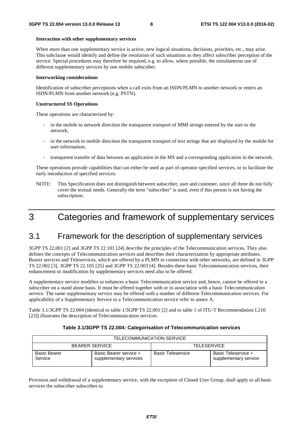#### **Interaction with other supplementary services**

When more than one supplementary service is active, new logical situations, decisions, priorities, etc., may arise. This subclause would identify and define the resolution of such situations as they affect subscriber perception of the service. Special procedures may therefore be required, e.g. to allow, where possible, the simultaneous use of different supplementary services by one mobile subscriber.

#### **Interworking considerations**

Identification of subscriber perceptions when a call exits from an ISDN/PLMN to another network or enters an ISDN/PLMN from another network (e.g. PSTN).

#### **Unstructured SS Operations**

These operations are characterized by:

- in the mobile to network direction the transparent transport of MMI strings entered by the user to the network;
- in the network to mobile direction the transparent transport of text strings that are displayed by the mobile for user information;
- transparent transfer of data between an application in the MS and a corresponding application in the network.

These operations provide capabilities that can either be used as part of operator specified services, or to facilitate the early introduction of specified services.

NOTE: This Specification does not distinguish between subscriber, user and customer, since all three do not fully cover the textual needs. Generally the term "subscriber" is used, even if this person is not having the subscription.

# 3 Categories and framework of supplementary services

### 3.1 Framework for the description of supplementary services

3GPP TS 22.001 [2] and 3GPP TS 22.101 [24] describe the principles of the Telecommunication services. They also defines the concepts of Telecommunication services and describes their characterization by appropriate attributes. Bearer services and Teleservices, which are offered by a PLMN in connection with other networks, are defined in 3GPP TS 22.002 [3], 3GPP TS 22.105 [25] and 3GPP TS 22.003 [4]. Besides these basic Telecommunication services, their enhancement or modification by supplementary services need also to be offered.

A supplementary service modifies or enhances a basic Telecommunication service and, hence, cannot be offered to a subscriber on a stand alone basis. It must be offered together with or in association with a basic Telecommunication service. The same supplementary service may be offered with a number of different Telecommunication services. For applicability of a Supplementary Service to a Telecommunication service refer to annex A.

Table 3.1/3GPP TS 22.004 (identical to table 1/3GPP TS 22.001 [2] and to table 1 of ITU-T Recommendation I.210 [23]) illustrates the description of Telecommunication services.

| TELECOMMUNICATION SERVICE      |                                                  |                          |                                              |  |  |  |  |  |
|--------------------------------|--------------------------------------------------|--------------------------|----------------------------------------------|--|--|--|--|--|
|                                | <b>BEARER SERVICE</b>                            | <b>TELESERVICE</b>       |                                              |  |  |  |  |  |
| <b>Basic Bearer</b><br>Service | Basic Bearer service +<br>supplementary services | <b>Basic Teleservice</b> | Basic Teleservice +<br>supplementary service |  |  |  |  |  |

#### **Table 3.1/3GPP TS 22.004: Categorisation of Telecommunication services**

Provision and withdrawal of a supplementary service, with the exception of Closed User Group, shall apply to all basic services the subscriber subscribes to.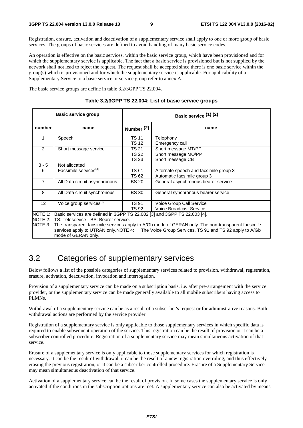Registration, erasure, activation and deactivation of a supplementary service shall apply to one or more group of basic services. The groups of basic services are defined to avoid handling of many basic service codes.

An operation is effective on the basic services, within the basic service group, which have been provisioned and for which the supplementary service is applicable. The fact that a basic service is provisioned but is not supplied by the network shall not lead to reject the request. The request shall be accepted since there is one basic service within the group(s) which is provisioned and for which the supplementary service is applicable. For applicability of a Supplementary Service to a basic service or service group refer to annex A.

The basic service groups are define in table 3.2/3GPP TS 22.004.

|                 | <b>Basic service group</b>                                               | Basic service (1) (2)          |                                                                                                                                                                       |  |  |  |
|-----------------|--------------------------------------------------------------------------|--------------------------------|-----------------------------------------------------------------------------------------------------------------------------------------------------------------------|--|--|--|
| number          | name                                                                     | Number $(2)$                   | name                                                                                                                                                                  |  |  |  |
| 1               | Speech                                                                   | <b>TS 11</b><br><b>TS 12</b>   | Telephony<br>Emergency call                                                                                                                                           |  |  |  |
| 2               | Short message service                                                    | TS 21<br><b>TS 22</b><br>TS 23 | Short message MT/PP<br>Short message MO/PP<br>Short message CB                                                                                                        |  |  |  |
| $3 - 5$         | Not allocated                                                            |                                |                                                                                                                                                                       |  |  |  |
| 6               | Facsimile services <sup>(3)</sup>                                        | <b>TS 61</b><br><b>TS 62</b>   | Alternate speech and facsimile group 3<br>Automatic facsimile group 3                                                                                                 |  |  |  |
| $\overline{7}$  | All Data circuit asynchronous                                            | <b>BS 20</b>                   | General asynchronous bearer service                                                                                                                                   |  |  |  |
| 8               | All Data circuit synchronous                                             | <b>BS 30</b>                   | General synchronous bearer service                                                                                                                                    |  |  |  |
| 12 <sup>2</sup> | Voice group services <sup>(4)</sup>                                      | <b>TS 91</b><br><b>TS 92</b>   | Voice Group Call Service<br><b>Voice Broadcast Service</b>                                                                                                            |  |  |  |
| NOTE 1:         | Basic services are defined in 3GPP TS 22.002 [3] and 3GPP TS 22.003 [4]. |                                |                                                                                                                                                                       |  |  |  |
|                 | NOTE 2: TS: Teleservice BS: Bearer service.                              |                                |                                                                                                                                                                       |  |  |  |
|                 | services apply to UTRAN only. NOTE 4:<br>mode of GERAN only.             |                                | NOTE 3: The transparent facsimile services apply to A/Gb mode of GERAN only. The non-transparent facsimile<br>The Voice Group Services, TS 91 and TS 92 apply to A/Gb |  |  |  |

#### **Table 3.2/3GPP TS 22.004: List of basic service groups**

### 3.2 Categories of supplementary services

Below follows a list of the possible categories of supplementary services related to provision, withdrawal, registration, erasure, activation, deactivation, invocation and interrogation.

Provision of a supplementary service can be made on a subscription basis, i.e. after pre-arrangement with the service provider, or the supplementary service can be made generally available to all mobile subscribers having access to PLMNs.

Withdrawal of a supplementary service can be as a result of a subscriber's request or for administrative reasons. Both withdrawal actions are performed by the service provider.

Registration of a supplementary service is only applicable to those supplementary services in which specific data is required to enable subsequent operation of the service. This registration can be the result of provision or it can be a subscriber controlled procedure. Registration of a supplementary service may mean simultaneous activation of that service.

Erasure of a supplementary service is only applicable to those supplementary services for which registration is necessary. It can be the result of withdrawal, it can be the result of a new registration overruling, and thus effectively erasing the previous registration, or it can be a subscriber controlled procedure. Erasure of a Supplementary Service may mean simultaneous deactivation of that service.

Activation of a supplementary service can be the result of provision. In some cases the supplementary service is only activated if the conditions in the subscription options are met. A supplementary service can also be activated by means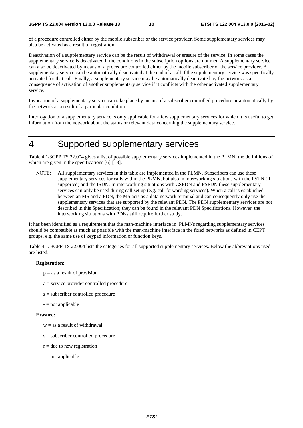of a procedure controlled either by the mobile subscriber or the service provider. Some supplementary services may also be activated as a result of registration.

Deactivation of a supplementary service can be the result of withdrawal or erasure of the service. In some cases the supplementary service is deactivated if the conditions in the subscription options are not met. A supplementary service can also be deactivated by means of a procedure controlled either by the mobile subscriber or the service provider. A supplementary service can be automatically deactivated at the end of a call if the supplementary service was specifically activated for that call. Finally, a supplementary service may be automatically deactivated by the network as a consequence of activation of another supplementary service if it conflicts with the other activated supplementary service.

Invocation of a supplementary service can take place by means of a subscriber controlled procedure or automatically by the network as a result of a particular condition.

Interrogation of a supplementary service is only applicable for a few supplementary services for which it is useful to get information from the network about the status or relevant data concerning the supplementary service.

# 4 Supported supplementary services

Table 4.1/3GPP TS 22.004 gives a list of possible supplementary services implemented in the PLMN, the definitions of which are given in the specifications [6]-[18].

NOTE: All supplementary services in this table are implemented in the PLMN. Subscribers can use these supplementary services for calls within the PLMN, but also in interworking situations with the PSTN (if supported) and the ISDN. In interworking situations with CSPDN and PSPDN these supplementary services can only be used during call set up (e.g. call forwarding services). When a call is established between an MS and a PDN, the MS acts as a data network terminal and can consequently only use the supplementary services that are supported by the relevant PDN. The PDN supplementary services are not described in this Specification; they can be found in the relevant PDN Specifications. However, the interworking situations with PDNs still require further study.

It has been identified as a requirement that the man-machine interface in PLMNs regarding supplementary services should be compatible as much as possible with the man-machine interface in the fixed networks as defined in CEPT groups, e.g. the same use of keypad information or function keys.

Table 4.1/ 3GPP TS 22.004 lists the categories for all supported supplementary services. Below the abbreviations used are listed.

#### **Registration:**

- $p = as a result of provision$
- a = service provider controlled procedure
- s = subscriber controlled procedure
- $-$  = not applicable

#### **Erasure:**

- $w =$  as a result of withdrawal
- s = subscriber controlled procedure
- $r =$  due to new registration
- $-$  = not applicable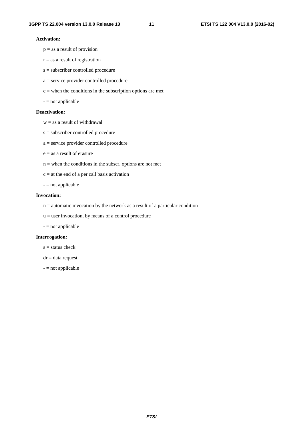#### **Activation:**

- $p = as a result of provision$
- $r =$  as a result of registration
- s = subscriber controlled procedure
- a = service provider controlled procedure
- $c =$  when the conditions in the subscription options are met
- = not applicable

#### **Deactivation:**

- $w =$  as a result of withdrawal
- s = subscriber controlled procedure
- a = service provider controlled procedure
- $e =$  as a result of erasure
- $n =$  when the conditions in the subscr. options are not met
- $c = at the end of a per call basis activation$
- $-$  = not applicable

#### **Invocation:**

- n = automatic invocation by the network as a result of a particular condition
- $u =$  user invocation, by means of a control procedure
- = not applicable

#### **Interrogation:**

- $s =$  status check
- $dr = data$  request
- = not applicable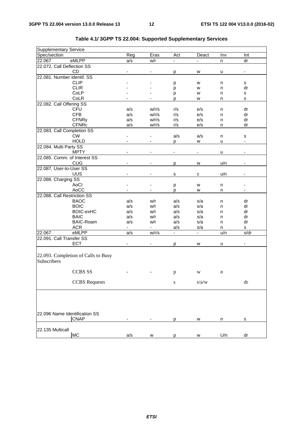| <b>Supplementary Service</b>                       |     |                          |               |       |     |                          |
|----------------------------------------------------|-----|--------------------------|---------------|-------|-----|--------------------------|
| Spec/section                                       | Reg | Eras                     | Act           | Deact | Inv | Int                      |
| eMLPP<br>22.067                                    | a/s | w/r                      |               |       | n   | dr                       |
| 22.072, Call Deflection SS                         |     |                          |               |       |     |                          |
| CD                                                 |     | $\overline{\phantom{a}}$ | p             | W     | u   | $\overline{\phantom{a}}$ |
| 22.081. Number Identif. SS                         |     |                          |               |       |     |                          |
| <b>CLIP</b>                                        |     |                          | p             | w     | n   | s                        |
| <b>CLIR</b>                                        |     |                          | p             | W     | n   | dr                       |
| CoLP                                               |     |                          | р             | W     | n   | s                        |
| CoLR                                               |     |                          | р             | W     | n   | s                        |
| 22.082. Call Offering SS                           |     |                          |               |       |     |                          |
| CFU                                                | a/s | w/r/s                    | r/s           | e/s   | n   | dr                       |
| <b>CFB</b>                                         | a/s | w/r/s                    | r/s           | e/s   | n   | dr                       |
| <b>CFNRy</b>                                       | a/s | w/r/s                    | r/s           | e/s   | n   | dr                       |
| <b>CFNRc</b>                                       | a/s | w/r/s                    | r/s           | e/s   | n   | dr                       |
| 22.083. Call Completion SS                         |     |                          |               |       |     |                          |
| <b>CW</b>                                          |     |                          | a/s           | a/s   | n   | s                        |
| <b>HOLD</b>                                        |     |                          | p             | W     | u   | ÷                        |
| 22.084. Multi Party SS                             |     |                          |               |       |     |                          |
| <b>MPTY</b>                                        |     |                          |               |       | u   |                          |
| 22.085. Comm. of Interest SS                       |     |                          |               |       |     |                          |
| <b>CUG</b>                                         |     |                          | p             | W     | u/n | -                        |
| 22.087. User-to-User SS                            |     |                          |               |       |     |                          |
| <b>UUS</b>                                         |     |                          | s             | С     | u/n |                          |
| 22.086. Charging SS                                |     |                          |               |       |     |                          |
| AoCl                                               |     |                          | р             | W     | n   |                          |
| AoCC                                               |     |                          | p             | W     | n   |                          |
| 22.088. Call Restriction SS                        |     |                          |               |       |     |                          |
| <b>BAOC</b>                                        | a/s | w/r                      | a/s           | s/a   | n   | dr                       |
| <b>BOIC</b>                                        | a/s | w/r                      | a/s           | s/a   | n   | dr                       |
| <b>BOIC-exHC</b>                                   | a/s | w/r                      | a/s           | s/a   | n   | dr                       |
| <b>BAIC</b>                                        | a/s | w/r                      | a/s           | s/a   | n   | dr                       |
| <b>BAIC-Roam</b>                                   | a/s | w/r                      | a/s           | s/a   | n   | dr                       |
| <b>ACR</b>                                         | -   | $\blacksquare$           | a/s           | s/a   | n   | s                        |
| eMLPP<br>22.067                                    | a/s | w/r/s                    | $\frac{1}{2}$ | -     | u/n | s/dr                     |
| 22.091. Call Transfer SS                           |     |                          |               |       |     |                          |
| <b>ECT</b>                                         |     |                          |               | w     | u   |                          |
|                                                    |     |                          | р             |       |     |                          |
| 22.093. Completion of Calls to Busy<br>Subscribers |     |                          |               |       |     |                          |
| <b>CCBS SS</b>                                     |     |                          | p             | W     | n   |                          |
| <b>CCBS</b> Requests                               |     |                          | ${\bf S}$     | s/a/w |     | $\mathrm{d}\mathrm{r}$   |
|                                                    |     |                          |               |       |     |                          |
| 22.096 Name Identification SS                      |     |                          |               |       |     |                          |
| <b>CNAP</b>                                        |     |                          | p             | W     | n   | s                        |
|                                                    |     |                          |               |       |     |                          |
| 22.135 Multicall                                   |     |                          |               |       |     |                          |
| <b>MC</b>                                          | a/s | W                        | p             | W     | U/n | dr                       |

### **Table 4.1/ 3GPP TS 22.004: Supported Supplementary Services**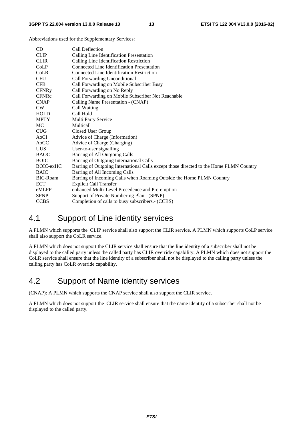Abbreviations used for the Supplementary Services:

| CD              | Call Deflection                                                                        |
|-----------------|----------------------------------------------------------------------------------------|
| <b>CLIP</b>     | Calling Line Identification Presentation                                               |
| <b>CLIR</b>     | Calling Line Identification Restriction                                                |
| CoLP            | Connected Line Identification Presentation                                             |
| CoLR            | Connected Line Identification Restriction                                              |
| <b>CFU</b>      | Call Forwarding Unconditional                                                          |
| <b>CFB</b>      | Call Forwarding on Mobile Subscriber Busy                                              |
| <b>CFNRy</b>    | Call Forwarding on No Reply                                                            |
| <b>CFNRc</b>    | Call Forwarding on Mobile Subscriber Not Reachable                                     |
| <b>CNAP</b>     | Calling Name Presentation - (CNAP)                                                     |
| CW.             | Call Waiting                                                                           |
| <b>HOLD</b>     | Call Hold                                                                              |
| <b>MPTY</b>     | Multi Party Service                                                                    |
| MC.             | <b>Multicall</b>                                                                       |
| <b>CUG</b>      | Closed User Group                                                                      |
| AoCI            | Advice of Charge (Information)                                                         |
| AoCC            | Advice of Charge (Charging)                                                            |
| UUS.            | User-to-user signalling                                                                |
| <b>BAOC</b>     | Barring of All Outgoing Calls                                                          |
| <b>BOIC</b>     | Barring of Outgoing International Calls                                                |
| BOIC-exHC       | Barring of Outgoing International Calls except those directed to the Home PLMN Country |
| <b>BAIC</b>     | Barring of All Incoming Calls                                                          |
| <b>BIC-Roam</b> | Barring of Incoming Calls when Roaming Outside the Home PLMN Country                   |
| <b>ECT</b>      | <b>Explicit Call Transfer</b>                                                          |
| eMLPP           | enhanced Multi-Level Precedence and Pre-emption                                        |
| <b>SPNP</b>     | Support of Private Numbering Plan - (SPNP)                                             |
| <b>CCBS</b>     | Completion of calls to busy subscribers.- (CCBS)                                       |

### 4.1 Support of Line identity services

A PLMN which supports the CLIP service shall also support the CLIR service. A PLMN which supports CoLP service shall also support the CoLR service.

A PLMN which does not support the CLIR service shall ensure that the line identity of a subscriber shall not be displayed to the called party unless the called party has CLIR override capability. A PLMN which does not support the CoLR service shall ensure that the line identity of a subscriber shall not be displayed to the calling party unless the calling party has CoLR override capability.

### 4.2 Support of Name identity services

(CNAP): A PLMN which supports the CNAP service shall also support the CLIR service.

A PLMN which does not support the CLIR service shall ensure that the name identity of a subscriber shall not be displayed to the called party.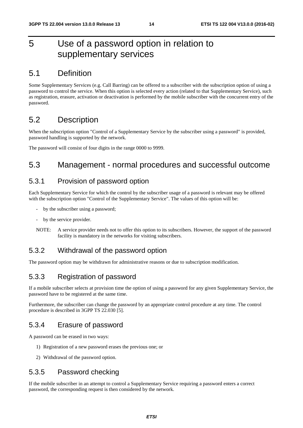# 5 Use of a password option in relation to supplementary services

### 5.1 Definition

Some Supplementary Services (e.g. Call Barring) can be offered to a subscriber with the subscription option of using a password to control the service. When this option is selected every action (related to that Supplementary Service), such as registration, erasure, activation or deactivation is performed by the mobile subscriber with the concurrent entry of the password.

### 5.2 Description

When the subscription option "Control of a Supplementary Service by the subscriber using a password" is provided, password handling is supported by the network.

The password will consist of four digits in the range 0000 to 9999.

### 5.3 Management - normal procedures and successful outcome

### 5.3.1 Provision of password option

Each Supplementary Service for which the control by the subscriber usage of a password is relevant may be offered with the subscription option "Control of the Supplementary Service". The values of this option will be:

- by the subscriber using a password;
- by the service provider.
- NOTE: A service provider needs not to offer this option to its subscribers. However, the support of the password facility is mandatory in the networks for visiting subscribers.

### 5.3.2 Withdrawal of the password option

The password option may be withdrawn for administrative reasons or due to subscription modification.

### 5.3.3 Registration of password

If a mobile subscriber selects at provision time the option of using a password for any given Supplementary Service, the password have to be registered at the same time.

Furthermore, the subscriber can change the password by an appropriate control procedure at any time. The control procedure is described in 3GPP TS 22.030 [5].

### 5.3.4 Erasure of password

A password can be erased in two ways:

- 1) Registration of a new password erases the previous one; or
- 2) Withdrawal of the password option.

### 5.3.5 Password checking

If the mobile subscriber in an attempt to control a Supplementary Service requiring a password enters a correct password, the corresponding request is then considered by the network.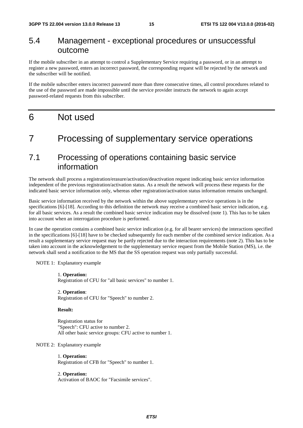### 5.4 Management - exceptional procedures or unsuccessful outcome

If the mobile subscriber in an attempt to control a Supplementary Service requiring a password, or in an attempt to register a new password, enters an incorrect password, the corresponding request will be rejected by the network and the subscriber will be notified.

If the mobile subscriber enters incorrect password more than three consecutive times, all control procedures related to the use of the password are made impossible until the service provider instructs the network to again accept password-related requests from this subscriber.

### 6 Not used

### 7 Processing of supplementary service operations

### 7.1 Processing of operations containing basic service information

The network shall process a registration/erasure/activation/deactivation request indicating basic service information independent of the previous registration/activation status. As a result the network will process these requests for the indicated basic service information only, whereas other registration/activation status information remains unchanged.

Basic service information received by the network within the above supplementary service operations is in the specifications [6]-[18]. According to this definition the network may receive a combined basic service indication, e.g. for all basic services. As a result the combined basic service indication may be dissolved (note 1). This has to be taken into account when an interrogation procedure is performed.

In case the operation contains a combined basic service indication (e.g. for all bearer services) the interactions specified in the specifications [6]-[18] have to be checked subsequently for each member of the combined service indication. As a result a supplementary service request may be partly rejected due to the interaction requirements (note 2). This has to be taken into account in the acknowledgement to the supplementary service request from the Mobile Station (MS), i.e. the network shall send a notification to the MS that the SS operation request was only partially successful.

NOTE 1: Explanatory example

 1. **Operation:** Registration of CFU for "all basic services" to number 1.

 2. **Operation**: Registration of CFU for "Speech" to number 2.

 **Result:**

 Registration status for "Speech": CFU active to number 2. All other basic service groups: CFU active to number 1.

NOTE 2: Explanatory example

1. **Operation:**

Registration of CFB for "Speech" to number 1.

2. **Operation:**

Activation of BAOC for "Facsimile services".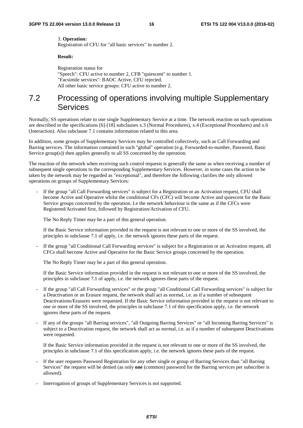#### 3. **Operation:**

Registration of CFU for "all basic services" to number 2.

#### **Result:**

 Registration status for "Speech": CFU active to number 2, CFB "quiescent" to number 1. "Facsimile services": BAOC Active, CFU rejected. All other basic service groups: CFU active to number 2.

### 7.2 Processing of operations involving multiple Supplementary **Services**

Normally, SS operations relate to one single Supplementary Service at a time. The network reaction on such operations are described in the specifications [6]-[18] subclauses x.3 (Normal Procedures), x.4 (Exceptional Procedures) and x.6 (Interaction). Also subclause 7.1 contains information related to this area.

In addition, some groups of Supplementary Services may be controlled collectively, such as Call Forwarding and Barring services. The information contained in such "global" operation (e.g. Forwarded-to-number, Password, Basic Service group(s)) then applies generally to all SS concerned by the operation.

The reaction of the network when receiving such control requests is generally the same as when receiving a number of subsequent single operations to the corresponding Supplementary Services. However, in some cases the action to be taken by the network may be regarded as "exceptional", and therefore the following clarifies the only allowed operations on groups of Supplementary Services:

If the group "all Call Forwarding services" is subject for a Registration or an Activation request, CFU shall become Active and Operative whilst the conditional CFs (CFC) will become Active and quiescent for the Basic Service groups concerned by the operation. I.e the network behaviour is the same as if the CFCs were Registered/Activated first, followed by Registration/Activation of CFU.

The No Reply Timer may be a part of this general operation.

 If the Basic Service information provided in the request is not relevant to one or more of the SS involved, the principles in subclause 7.1 of apply, i.e. the network ignores these parts of the request.

If the group "all Conditional Call Forwarding services" is subject for a Registration or an Activation request, all CFCs shall become Active and Operative for the Basic Service groups concerned by the operation.

The No Reply Timer may be a part of this general operation.

 If the Basic Service information provided in the request is not relevant to one or more of the SS involved, the principles in subclause 7.1 of apply, i.e. the network ignores these parts of the request.

- If the group "all Call Forwarding services" or the group "all Conditional Call Forwarding services" is subject for a Deactivation or an Erasure request, the network shall act as normal, i.e. as if a number of subsequent Deactivations/Erasures were requested. If the Basic Service information provided in the request is not relevant to one or more of the SS involved, the principles in subclause 7.1 of this specification apply, i.e. the network ignores these parts of the request.
- If any of the groups "all Barring services", "all Outgoing Barring Services" or "all Incoming Barring Services" is subject to a Deactivation request, the network shall act as normal, i.e. as if a number of subsequent Deactivations were requested.

 If the Basic Service information provided in the request is not relevant to one or more of the SS involved, the principles in subclause 7.1 of this specification apply, i.e. the network ignores these parts of the request.

- If the user requests Password Registration for any other single or group of Barring Services than "all Barring Services" the request will be denied (as only **one** (common) password for the Barring services per subscriber is allowed).
- Interrogation of groups of Supplementary Services is not supported.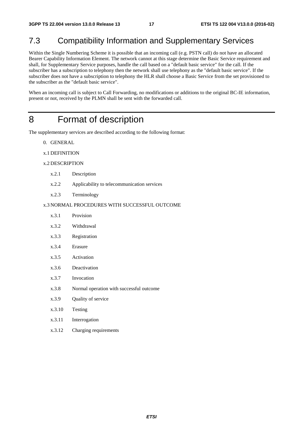# 7.3 Compatibility Information and Supplementary Services

Within the Single Numbering Scheme it is possible that an incoming call (e.g. PSTN call) do not have an allocated Bearer Capability Information Element. The network cannot at this stage determine the Basic Service requirement and shall, for Supplementary Service purposes, handle the call based on a "default basic service" for the call. If the subscriber has a subscription to telephony then the network shall use telephony as the "default basic service". If the subscriber does not have a subscription to telephony the HLR shall choose a Basic Service from the set provisioned to the subscriber as the "default basic service".

When an incoming call is subject to Call Forwarding, no modifications or additions to the original BC-IE information, present or not, received by the PLMN shall be sent with the forwarded call.

### 8 Format of description

The supplementary services are described according to the following format:

- 0. GENERAL
- x.1 DEFINITION

#### x.2 DESCRIPTION

- x.2.1 Description
- x.2.2 Applicability to telecommunication services
- x.2.3 Terminology

#### x.3 NORMAL PROCEDURES WITH SUCCESSFUL OUTCOME

| x.3.1 | Provision    |
|-------|--------------|
| x.3.2 | Withdrawal   |
| x.3.3 | Registration |

- x.3.4 Erasure
- x.3.5 Activation
- x.3.6 Deactivation
- x.3.7 Invocation
- x.3.8 Normal operation with successful outcome
- x.3.9 Quality of service
- x.3.10 Testing
- x.3.11 Interrogation
- x.3.12 Charging requirements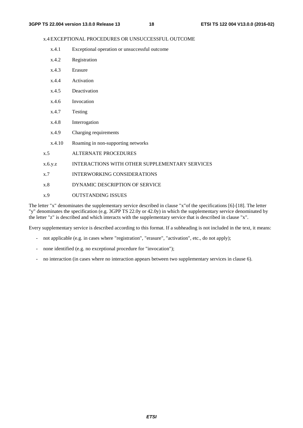#### x.4 EXCEPTIONAL PROCEDURES OR UNSUCCESSFUL OUTCOME

- x.4.1 Exceptional operation or unsuccessful outcome
- x.4.2 Registration
- x.4.3 Erasure
- x.4.4 Activation
- x.4.5 Deactivation
- x.4.6 Invocation
- x.4.7 Testing
- x.4.8 Interrogation
- x.4.9 Charging requirements
- x.4.10 Roaming in non-supporting networks
- x.5 ALTERNATE PROCEDURES
- x.6.y.z INTERACTIONS WITH OTHER SUPPLEMENTARY SERVICES
- x.7 INTERWORKING CONSIDERATIONS
- x.8 DYNAMIC DESCRIPTION OF SERVICE
- x.9 OUTSTANDING ISSUES

The letter "x" denominates the supplementary service described in clause "x"of the specifications [6]-[18]. The letter "y" denominates the specification (e.g. 3GPP TS 22.0y or 42.0y) in which the supplementary service denominated by the letter "z" is described and which interacts with the supplementary service that is described in clause "x".

Every supplementary service is described according to this format. If a subheading is not included in the text, it means:

- not applicable (e.g. in cases where "registration", "erasure", "activation", etc., do not apply);
- none identified (e.g. no exceptional procedure for "invocation");
- no interaction (in cases where no interaction appears between two supplementary services in clause 6).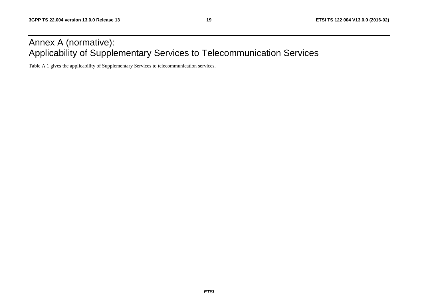# Annex A (normative): Applicability of Supplementary Services to Telecommunication Services

Table A.1 gives the applicability of Supplementary Services to telecommunication services.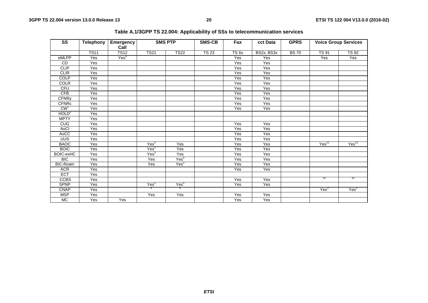| $\overline{\text{ss}}$ | <b>Telephony</b> | Emergency<br>Call | <b>SMS PTP</b>   |                  | <b>SMS-CB</b> |                  | cct Data   | <b>GPRS</b> |                   | <b>Voice Group Services</b> |
|------------------------|------------------|-------------------|------------------|------------------|---------------|------------------|------------|-------------|-------------------|-----------------------------|
|                        | <b>TS11</b>      | <b>TS12</b>       | <b>TS21</b>      | <b>TS22</b>      | <b>TS 23</b>  | TS <sub>6x</sub> | BS2x, BS3x | <b>BS70</b> | <b>TS 91</b>      | <b>TS 92</b>                |
| eMLPP                  | Yes              | Yes <sup>9</sup>  |                  |                  |               | Yes              | Yes        |             | Yes               | Yes                         |
| CD                     | Yes              |                   |                  |                  |               | Yes              | Yes        |             |                   |                             |
| <b>CLIP</b>            | $\overline{Yes}$ |                   |                  |                  |               | Yes              | Yes        |             |                   |                             |
| <b>CLIR</b>            | Yes              |                   |                  |                  |               | Yes              | Yes        |             |                   |                             |
| <b>COLP</b>            | Yes              |                   |                  |                  |               | Yes              | Yes        |             |                   |                             |
| <b>COLR</b>            | Yes              |                   |                  |                  |               | Yes              | Yes        |             |                   |                             |
| <b>CFU</b>             | Yes              |                   |                  |                  |               | Yes              | Yes        |             |                   |                             |
| CFB                    | Yes              |                   |                  |                  |               | Yes              | Yes        |             |                   |                             |
| <b>CFNRy</b>           | Yes              |                   |                  |                  |               | Yes              | Yes        |             |                   |                             |
| CFNRc                  | Yes              |                   |                  |                  |               | Yes              | Yes        |             |                   |                             |
| CW <sup>1</sup>        | Yes              |                   |                  |                  |               | Yes              | Yes        |             |                   |                             |
| HOLD <sup>2</sup>      | Yes              |                   |                  |                  |               |                  |            |             |                   |                             |
| <b>MPTY</b>            | Yes              |                   |                  |                  |               |                  |            |             |                   |                             |
| C <sub>0</sub>         | Yes              |                   |                  |                  |               | Yes              | Yes        |             |                   |                             |
| AoCl                   | Yes              |                   |                  |                  |               | Yes              | Yes        |             |                   |                             |
| AoCC                   | Yes              |                   |                  |                  |               | Yes              | Yes        |             |                   |                             |
| <b>UUS</b>             | Yes              |                   |                  |                  |               | Yes              | Yes        |             |                   |                             |
| <b>BAOC</b>            | Yes              |                   | Yes <sup>3</sup> | Yes              |               | Yes              | Yes        |             | Yes <sup>11</sup> | Yes <sup>11</sup>           |
| <b>BOIC</b>            | Yes              |                   | Yes <sup>3</sup> | Yes              |               | Yes              | Yes        |             |                   |                             |
| <b>BOIC-exHC</b>       | Yes              |                   | Yes <sup>3</sup> | Yes              |               | Yes              | Yes        |             |                   |                             |
| <b>BIC</b>             | Yes              |                   | Yes              | Yes <sup>3</sup> |               | Yes              | Yes        |             |                   |                             |
| <b>BIC-Roam</b>        | Yes              |                   | Yes              | Yes <sup>3</sup> |               | Yes              | Yes        |             |                   |                             |
| <b>ACR</b>             | Yes              |                   |                  |                  |               | Yes              | Yes        |             |                   |                             |
| <b>ECT</b>             | Yes              |                   |                  |                  |               |                  |            |             |                   |                             |
| <b>CCBS</b>            | Yes              |                   |                  |                  |               | Yes              | Yes        |             | 10                | 10                          |
| <b>SPNP</b>            | Yes              |                   | Yes <sup>5</sup> | Yes <sup>5</sup> |               | Yes              | Yes        |             |                   |                             |
| <b>CNAP</b>            | Yes              |                   | 8                | $^8$             |               |                  |            |             | Yes <sup>3</sup>  | Yes <sup>3</sup>            |
| <b>MSP</b>             | Yes              |                   | Yes              | Yes              |               | Yes              | Yes        |             |                   |                             |
| <b>MC</b>              | Yes              | Yes               |                  |                  |               | Yes              | Yes        |             |                   |                             |

**Table A.1/3GPP TS 22.004: Applicability of SSs to telecommunication services**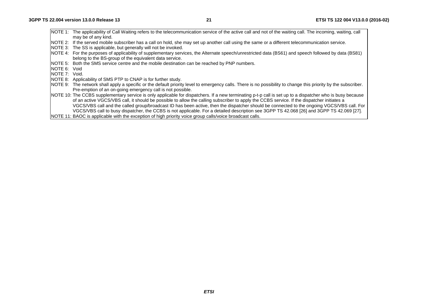|                       | NOTE 1: The applicability of Call Waiting refers to the telecommunication service of the active call and not of the waiting call. The incoming, waiting, call<br>may be of any kind. |
|-----------------------|--------------------------------------------------------------------------------------------------------------------------------------------------------------------------------------|
|                       |                                                                                                                                                                                      |
|                       | NOTE 2: If the served mobile subscriber has a call on hold, she may set up another call using the same or a different telecommunication service.                                     |
|                       | NOTE 3: The SS is applicable, but generally will not be invoked.                                                                                                                     |
|                       | NOTE 4: For the purposes of applicability of supplementary services, the Alternate speech/unrestricted data (BS61) and speech followed by data (BS81)                                |
|                       | belong to the BS-group of the equivalent data service.                                                                                                                               |
|                       | NOTE 5: Both the SMS service centre and the mobile destination can be reached by PNP numbers.                                                                                        |
| INOTE 6: Void         |                                                                                                                                                                                      |
| <b>INOTE 7: Void.</b> |                                                                                                                                                                                      |
|                       | NOTE 8: Applicability of SMS PTP to CNAP is for further study.                                                                                                                       |
|                       | NOTE 9: The network shall apply a specific or the default priority level to emergency calls. There is no possibility to change this priority by the subscriber.                      |
|                       | Pre-emption of an on-going emergency call is not possible.                                                                                                                           |
|                       | NOTE 10: The CCBS supplementary service is only applicable for dispatchers. If a new terminating p-t-p call is set up to a dispatcher who is busy because                            |
|                       | of an active VGCS/VBS call, it should be possible to allow the calling subscriber to apply the CCBS service. If the dispatcher initiates a                                           |
|                       | VGCS/VBS call and the called group/broadcast ID has been active, then the dispatcher should be connected to the ongoing VGCS/VBS call. For                                           |
|                       | VGCS/VBS call to busy dispatcher, the CCBS is not applicable. For a detailed description see 3GPP TS 42.068 [26] and 3GPP TS 42.069 [27].                                            |
|                       | NOTE 11: BAOC is applicable with the exception of high priority voice group calls/voice broadcast calls.                                                                             |
|                       |                                                                                                                                                                                      |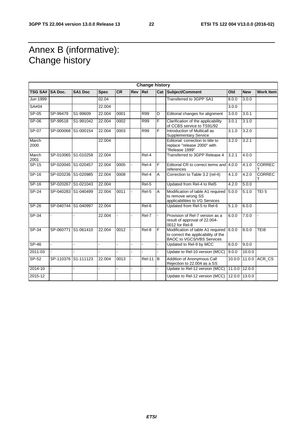# Annex B (informative): Change history

| <b>Change history</b> |           |                     |             |           |     |                    |   |                                                                                                              |        |            |                  |
|-----------------------|-----------|---------------------|-------------|-----------|-----|--------------------|---|--------------------------------------------------------------------------------------------------------------|--------|------------|------------------|
| TSG SA# SA Doc.       |           | <b>SA1 Doc</b>      | <b>Spec</b> | <b>CR</b> | Rev | <b>Rel</b>         |   | <b>Cat Subject/Comment</b>                                                                                   | Old    | <b>New</b> | <b>Work Item</b> |
| Jun 1999              |           |                     | 02.04       |           |     |                    |   | Transferred to 3GPP SA1                                                                                      | 8.0.0  | 3.0.0      |                  |
| SA#04                 |           |                     | 22.004      |           |     |                    |   |                                                                                                              | 3.0.0  |            |                  |
| SP-05                 | SP-99479  | S1-99609            | 22.004      | 0001      |     | <b>R99</b>         | D | Editorial changes for alignment                                                                              | 3.0.0  | 3.0.1      |                  |
| $SP-06$               | SP-99518  | S1-991042           | 22.004      | 0002      |     | <b>R99</b>         | F | Clarification of the applicability<br>of CCBS service to TS91/92                                             | 3.0.1  | 3.1.0      |                  |
| $SP-07$               | SP-000068 | S1-000154           | 22.004      | 0003      |     | R99                | F | Introduction of Multicall as<br><b>Supplementary Service</b>                                                 | 3.1.0  | 3.2.0      |                  |
| March<br>2000         |           |                     | 22.004      |           |     |                    |   | Editorial: correction to title to<br>replace "release 2000" with<br>"Release 1999"                           | 3.2.0  | 3.2.1      |                  |
| March<br>2001         |           | SP-010065 S1-010258 | 22.004      |           |     | Rel-4              |   | Transferred to 3GPP Release 4                                                                                | 3.2.1  | 4.0.0      |                  |
| $SP-15$               |           | SP-020045 S1-020457 | 22.004      | 0005      |     | $\overline{Re}$ -4 | F | Editorial CR to correct terms and 4.0.0<br>references                                                        |        | 4.1.0      | <b>CORREC</b>    |
| $SP-16$               |           | SP-020236 S1-020985 | 22.004      | 0008      |     | Rel-4              | A | Correction to Table 3.2 (rel-4)                                                                              | 4.1.0  | 4.2.0      | <b>CORREC</b>    |
| $SP-16$               |           | SP-020267 S1-021043 | 22.004      |           |     | Rel-5              |   | Updated from Rel-4 to Rel5                                                                                   | 4.2.0  | 5.0.0      |                  |
| <b>SP-24</b>          |           | SP-040283 S1-040499 | 22.004      | 0011      |     | Rel-5              | A | Modification of table A1 required<br>to remove wrong SS<br>applicabilities to VG Services                    | 5.0.0  | 5.1.0      | TEI <sub>5</sub> |
| $SP-26$               | SP-040744 | S1-040997           | 22.004      |           |     | Rel-6              |   | Updated from Rel-5 to Rel-6                                                                                  | 5.1.0  | 6.0.0      |                  |
| SP-34                 |           |                     | 22.004      |           |     | Rel-7              |   | Provision of Rel-7 version as a<br>result of approval of 22.004-<br>0012 for Rel-8                           | 6.0.0  | 7.0.0      |                  |
| $SP-34$               |           | SP-060771 S1-061410 | 22.004      | 0012      |     | Rel-8              | F | Modification of table A1 required<br>to correct the applicability of the<br><b>BAOC to VGCS/VBS Services</b> | 6.0.0  | 8.0.0      | TE <sub>18</sub> |
| SP-46                 |           |                     |             |           |     |                    |   | Updated to Rel-9 by MCC                                                                                      | 8.0.0  | 9.0.0      |                  |
| 2011-03               |           |                     |             |           |     |                    |   | Update to Rel-10 version (MCC)                                                                               | 9.0.0  | 10.0.0     |                  |
| $SP-52$               | SP-110376 | S1-111123           | 22.004      | 0013      |     | <b>Rel-11</b>      | B | Addition of Anonymous Call<br>Rejection to 22.004 as a SS                                                    | 10.0.0 | 11.0.0     | ACR_CS           |
| 2014-10               |           |                     |             |           |     |                    |   | Update to Rel-12 version (MCC)                                                                               | 11.0.0 | 12.0.0     |                  |
| 2015-12               |           |                     |             |           |     |                    |   | Update to Rel-12 version (MCC)                                                                               | 12.0.0 | 13.0.0     |                  |